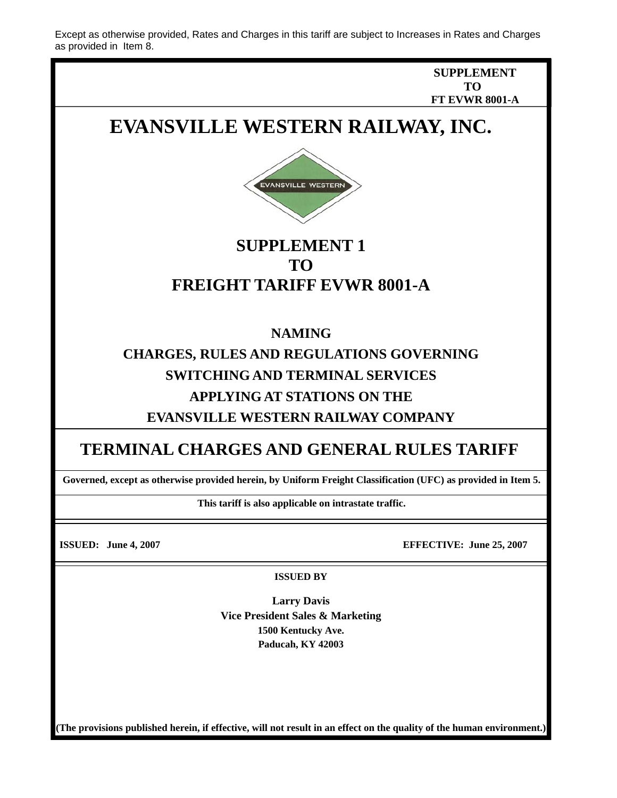Except as otherwise provided, Rates and Charges in this tariff are subject to Increases in Rates and Charges as provided in Item 8.

> **SUPPLEMENT TO FT EVWR 8001-A**

# **EVANSVILLE WESTERN RAILWAY, INC.**



### **SUPPLEMENT 1 TO FREIGHT TARIFF EVWR 8001-A**

#### **NAMING**

## **CHARGES, RULES AND REGULATIONS GOVERNING SWITCHING AND TERMINAL SERVICES APPLYING AT STATIONS ON THE EVANSVILLE WESTERN RAILWAY COMPANY**

#### **TERMINAL CHARGES AND GENERAL RULES TARIFF**

**Governed, except as otherwise provided herein, by Uniform Freight Classification (UFC) as provided in Item 5.** 

**This tariff is also applicable on intrastate traffic.** 

**ISSUED: June 4, 2007 EFFECTIVE: June 25, 2007** 

**ISSUED BY** 

**Larry Davis Vice President Sales & Marketing 1500 Kentucky Ave. Paducah, KY 42003** 

**(The provisions published herein, if effective, will not result in an effect on the quality of the human environment.)**